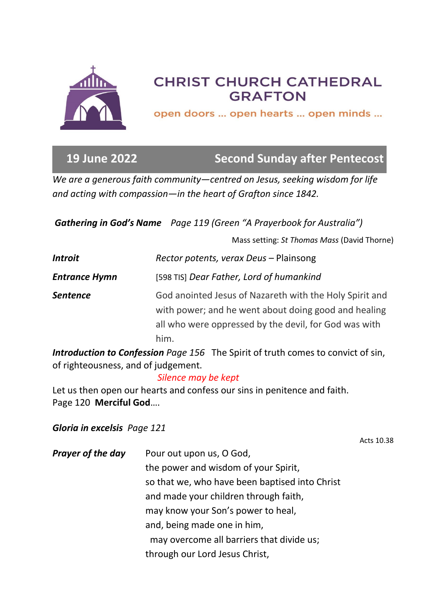

# **CHRIST CHURCH CATHEDRAL GRAFTON**

open doors ... open hearts ... open minds ...

# **19 June 2022 Second Sunday after Pentecost**

*We are a generous faith community—centred on Jesus, seeking wisdom for life and acting with compassion—in the heart of Grafton since 1842.*

|  | <b>Gathering in God's Name</b> Page 119 (Green "A Prayerbook for Australia") |
|--|------------------------------------------------------------------------------|
|--|------------------------------------------------------------------------------|

Mass setting: *St Thomas Mass* (David Thorne)

| <b>Introit</b>       | Rector potents, verax Deus - Plainsong                                                                                                                                           |  |
|----------------------|----------------------------------------------------------------------------------------------------------------------------------------------------------------------------------|--|
| <b>Entrance Hymn</b> | [598 TIS] Dear Father, Lord of humankind                                                                                                                                         |  |
| <b>Sentence</b>      | God anointed Jesus of Nazareth with the Holy Spirit and<br>with power; and he went about doing good and healing<br>all who were oppressed by the devil, for God was with<br>him. |  |

*Introduction to Confession Page 156* The Spirit of truth comes to convict of sin, of righteousness, and of judgement.

## *Silence may be kept*

Let us then open our hearts and confess our sins in penitence and faith. Page 120 **Merciful God**….

## *Gloria in excelsis Page 121*

Acts 10.38

| <b>Prayer of the day</b> | Pour out upon us, O God,                       |
|--------------------------|------------------------------------------------|
|                          | the power and wisdom of your Spirit,           |
|                          | so that we, who have been baptised into Christ |
|                          | and made your children through faith,          |
|                          | may know your Son's power to heal,             |
|                          | and, being made one in him,                    |
|                          | may overcome all barriers that divide us;      |
|                          | through our Lord Jesus Christ,                 |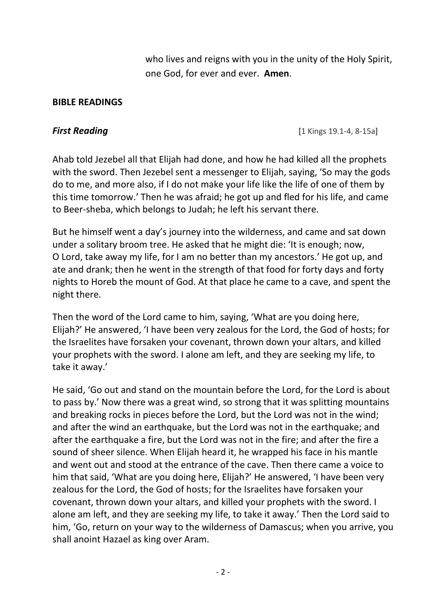who lives and reigns with you in the unity of the Holy Spirit, one God, for ever and ever. **Amen**.

### **BIBLE READINGS**

**First Reading First Reading First Reading First Reading** *First Reading First Reading First Reading First Reading First Reading First Reading First Reading First Reading* **<b>***First Reading* 

Ahab told Jezebel all that Elijah had done, and how he had killed all the prophets with the sword. Then Jezebel sent a messenger to Elijah, saying, 'So may the gods do to me, and more also, if I do not make your life like the life of one of them by this time tomorrow.' Then he was afraid; he got up and fled for his life, and came to Beer-sheba, which belongs to Judah; he left his servant there.

But he himself went a day's journey into the wilderness, and came and sat down under a solitary broom tree. He asked that he might die: 'It is enough; now, O Lord, take away my life, for I am no better than my ancestors.' He got up, and ate and drank; then he went in the strength of that food for forty days and forty nights to Horeb the mount of God. At that place he came to a cave, and spent the night there.

Then the word of the Lord came to him, saying, 'What are you doing here, Elijah?' He answered, 'I have been very zealous for the Lord, the God of hosts; for the Israelites have forsaken your covenant, thrown down your altars, and killed your prophets with the sword. I alone am left, and they are seeking my life, to take it away.'

He said, 'Go out and stand on the mountain before the Lord, for the Lord is about to pass by.' Now there was a great wind, so strong that it was splitting mountains and breaking rocks in pieces before the Lord, but the Lord was not in the wind; and after the wind an earthquake, but the Lord was not in the earthquake; and after the earthquake a fire, but the Lord was not in the fire; and after the fire a sound of sheer silence. When Elijah heard it, he wrapped his face in his mantle and went out and stood at the entrance of the cave. Then there came a voice to him that said, 'What are you doing here, Elijah?' He answered, 'I have been very zealous for the Lord, the God of hosts; for the Israelites have forsaken your covenant, thrown down your altars, and killed your prophets with the sword. I alone am left, and they are seeking my life, to take it away.' Then the Lord said to him, 'Go, return on your way to the wilderness of Damascus; when you arrive, you shall anoint Hazael as king over Aram.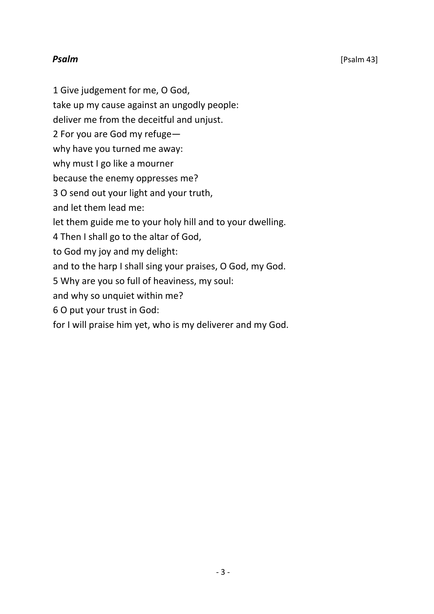### *Psalm* [Psalm 43]

1 Give judgement for me, O God,

take up my cause against an ungodly people:

deliver me from the deceitful and unjust.

2 For you are God my refuge—

why have you turned me away:

why must I go like a mourner

because the enemy oppresses me?

3 O send out your light and your truth,

and let them lead me:

let them guide me to your holy hill and to your dwelling.

4 Then I shall go to the altar of God,

to God my joy and my delight:

and to the harp I shall sing your praises, O God, my God.

5 Why are you so full of heaviness, my soul:

and why so unquiet within me?

6 O put your trust in God:

for I will praise him yet, who is my deliverer and my God.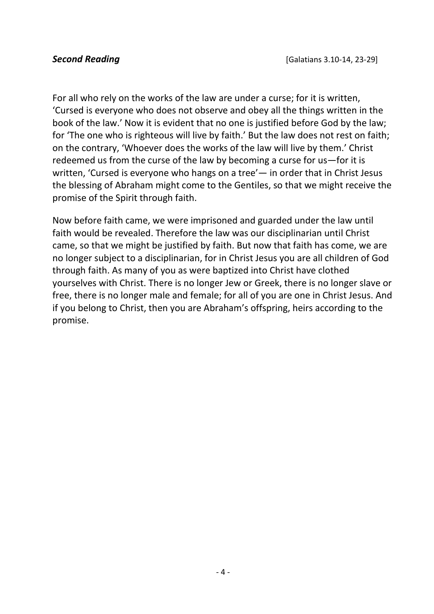For all who rely on the works of the law are under a curse; for it is written, 'Cursed is everyone who does not observe and obey all the things written in the book of the law.' Now it is evident that no one is justified before God by the law; for 'The one who is righteous will live by faith.' But the law does not rest on faith; on the contrary, 'Whoever does the works of the law will live by them.' Christ redeemed us from the curse of the law by becoming a curse for us—for it is written, 'Cursed is everyone who hangs on a tree'— in order that in Christ Jesus the blessing of Abraham might come to the Gentiles, so that we might receive the promise of the Spirit through faith.

Now before faith came, we were imprisoned and guarded under the law until faith would be revealed. Therefore the law was our disciplinarian until Christ came, so that we might be justified by faith. But now that faith has come, we are no longer subject to a disciplinarian, for in Christ Jesus you are all children of God through faith. As many of you as were baptized into Christ have clothed yourselves with Christ. There is no longer Jew or Greek, there is no longer slave or free, there is no longer male and female; for all of you are one in Christ Jesus. And if you belong to Christ, then you are Abraham's offspring, heirs according to the promise.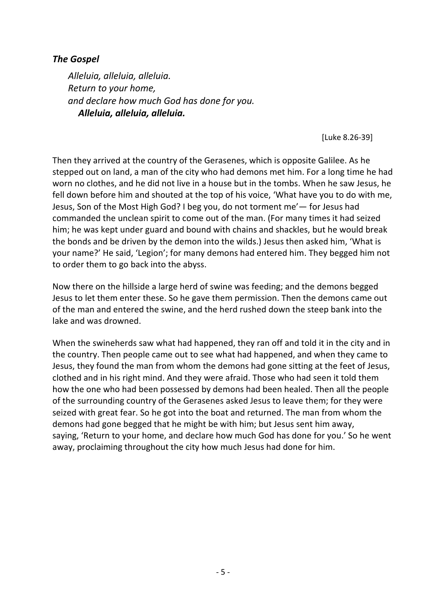### *The Gospel*

*Alleluia, alleluia, alleluia. Return to your home, and declare how much God has done for you. Alleluia, alleluia, alleluia.*

[Luke 8.26-39]

Then they arrived at the country of the Gerasenes, which is opposite Galilee. As he stepped out on land, a man of the city who had demons met him. For a long time he had worn no clothes, and he did not live in a house but in the tombs. When he saw Jesus, he fell down before him and shouted at the top of his voice, 'What have you to do with me, Jesus, Son of the Most High God? I beg you, do not torment me'— for Jesus had commanded the unclean spirit to come out of the man. (For many times it had seized him; he was kept under guard and bound with chains and shackles, but he would break the bonds and be driven by the demon into the wilds.) Jesus then asked him, 'What is your name?' He said, 'Legion'; for many demons had entered him. They begged him not to order them to go back into the abyss.

Now there on the hillside a large herd of swine was feeding; and the demons begged Jesus to let them enter these. So he gave them permission. Then the demons came out of the man and entered the swine, and the herd rushed down the steep bank into the lake and was drowned.

When the swineherds saw what had happened, they ran off and told it in the city and in the country. Then people came out to see what had happened, and when they came to Jesus, they found the man from whom the demons had gone sitting at the feet of Jesus, clothed and in his right mind. And they were afraid. Those who had seen it told them how the one who had been possessed by demons had been healed. Then all the people of the surrounding country of the Gerasenes asked Jesus to leave them; for they were seized with great fear. So he got into the boat and returned. The man from whom the demons had gone begged that he might be with him; but Jesus sent him away, saying, 'Return to your home, and declare how much God has done for you.' So he went away, proclaiming throughout the city how much Jesus had done for him.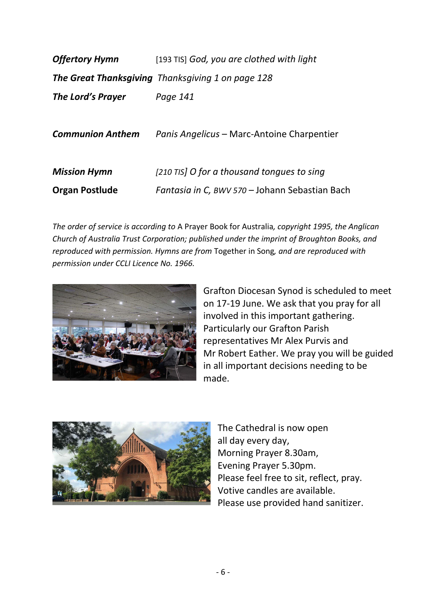| <b>Offertory Hymn</b>   | [193 TIS] God, you are clothed with light         |
|-------------------------|---------------------------------------------------|
|                         | The Great Thanksgiving Thanksgiving 1 on page 128 |
| The Lord's Prayer       | Page 141                                          |
| <b>Communion Anthem</b> | Panis Angelicus – Marc-Antoine Charpentier        |
| <b>Mission Hymn</b>     | [210 TIS] O for a thousand tongues to sing        |
| <b>Organ Postlude</b>   | Fantasia in C, BWV 570 – Johann Sebastian Bach    |

*The order of service is according to* A Prayer Book for Australia*, copyright 1995, the Anglican Church of Australia Trust Corporation; published under the imprint of Broughton Books, and reproduced with permission. Hymns are from* Together in Song*, and are reproduced with permission under CCLI Licence No. 1966.*



Grafton Diocesan Synod is scheduled to meet on 17-19 June. We ask that you pray for all involved in this important gathering. Particularly our Grafton Parish representatives Mr Alex Purvis and Mr Robert Eather. We pray you will be guided in all important decisions needing to be made.



The Cathedral is now open all day every day, Morning Prayer 8.30am, Evening Prayer 5.30pm. Please feel free to sit, reflect, pray. Votive candles are available. Please use provided hand sanitizer.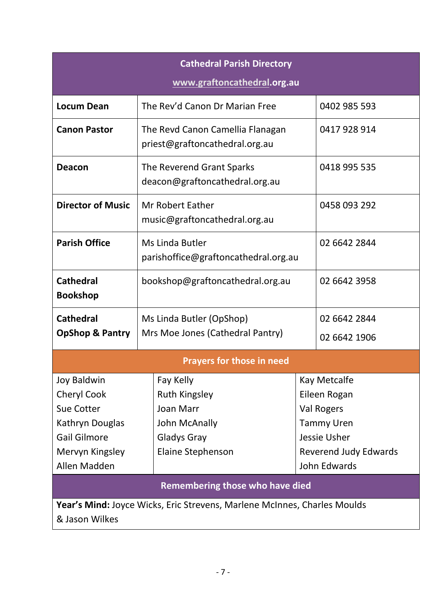| <b>Cathedral Parish Directory</b>                                                                                                   |                                                                                                            |                                                                                                                                        |  |  |
|-------------------------------------------------------------------------------------------------------------------------------------|------------------------------------------------------------------------------------------------------------|----------------------------------------------------------------------------------------------------------------------------------------|--|--|
| www.graftoncathedral.org.au                                                                                                         |                                                                                                            |                                                                                                                                        |  |  |
| <b>Locum Dean</b>                                                                                                                   | The Rev'd Canon Dr Marian Free                                                                             | 0402 985 593                                                                                                                           |  |  |
| <b>Canon Pastor</b>                                                                                                                 | The Revd Canon Camellia Flanagan<br>priest@graftoncathedral.org.au                                         | 0417 928 914                                                                                                                           |  |  |
| <b>Deacon</b>                                                                                                                       | The Reverend Grant Sparks<br>deacon@graftoncathedral.org.au                                                | 0418 995 535                                                                                                                           |  |  |
| <b>Director of Music</b>                                                                                                            | <b>Mr Robert Eather</b><br>music@graftoncathedral.org.au                                                   | 0458 093 292                                                                                                                           |  |  |
| <b>Parish Office</b>                                                                                                                | Ms Linda Butler<br>parishoffice@graftoncathedral.org.au                                                    | 02 6642 2844                                                                                                                           |  |  |
| <b>Cathedral</b><br><b>Bookshop</b>                                                                                                 | bookshop@graftoncathedral.org.au                                                                           | 02 6642 3958                                                                                                                           |  |  |
| <b>Cathedral</b><br><b>OpShop &amp; Pantry</b>                                                                                      | Ms Linda Butler (OpShop)<br>Mrs Moe Jones (Cathedral Pantry)                                               | 02 6642 2844<br>02 6642 1906                                                                                                           |  |  |
| <b>Prayers for those in need</b>                                                                                                    |                                                                                                            |                                                                                                                                        |  |  |
| Joy Baldwin<br><b>Cheryl Cook</b><br><b>Sue Cotter</b><br>Kathryn Douglas<br><b>Gail Gilmore</b><br>Mervyn Kingsley<br>Allen Madden | Fay Kelly<br><b>Ruth Kingsley</b><br>Joan Marr<br>John McAnally<br><b>Gladys Gray</b><br>Elaine Stephenson | Kay Metcalfe<br>Eileen Rogan<br><b>Val Rogers</b><br><b>Tammy Uren</b><br>Jessie Usher<br><b>Reverend Judy Edwards</b><br>John Edwards |  |  |
| <b>Remembering those who have died</b>                                                                                              |                                                                                                            |                                                                                                                                        |  |  |
| Year's Mind: Joyce Wicks, Eric Strevens, Marlene McInnes, Charles Moulds<br>& Jason Wilkes                                          |                                                                                                            |                                                                                                                                        |  |  |